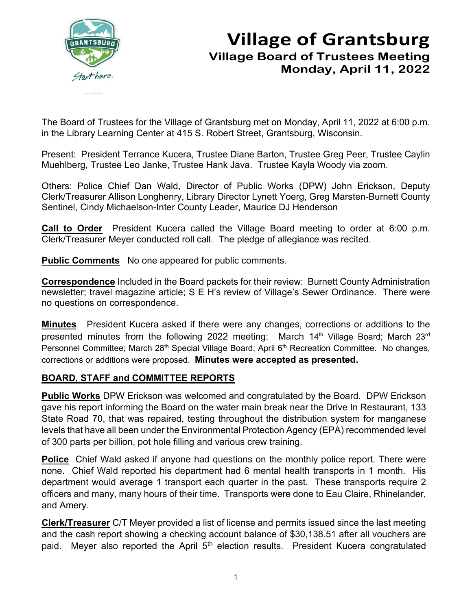

## **Village of Grantsburg Village Board of Trustees Meeting Monday, April 11, 2022**

The Board of Trustees for the Village of Grantsburg met on Monday, April 11, 2022 at 6:00 p.m. in the Library Learning Center at 415 S. Robert Street, Grantsburg, Wisconsin.

Present: President Terrance Kucera, Trustee Diane Barton, Trustee Greg Peer, Trustee Caylin Muehlberg, Trustee Leo Janke, Trustee Hank Java. Trustee Kayla Woody via zoom.

Others: Police Chief Dan Wald, Director of Public Works (DPW) John Erickson, Deputy Clerk/Treasurer Allison Longhenry, Library Director Lynett Yoerg, Greg Marsten-Burnett County Sentinel, Cindy Michaelson-Inter County Leader, Maurice DJ Henderson

**Call to Order** President Kucera called the Village Board meeting to order at 6:00 p.m. Clerk/Treasurer Meyer conducted roll call. The pledge of allegiance was recited.

**Public Comments** No one appeared for public comments.

**Correspondence** Included in the Board packets for their review: Burnett County Administration newsletter; travel magazine article; S E H's review of Village's Sewer Ordinance. There were no questions on correspondence.

**Minutes** President Kucera asked if there were any changes, corrections or additions to the presented minutes from the following 2022 meeting: March 14<sup>th</sup> Village Board; March 23<sup>rd</sup> Personnel Committee; March 28<sup>th</sup> Special Village Board; April 6<sup>th</sup> Recreation Committee. No changes, corrections or additions were proposed. **Minutes were accepted as presented.**

## **BOARD, STAFF and COMMITTEE REPORTS**

**Public Works** DPW Erickson was welcomed and congratulated by the Board. DPW Erickson gave his report informing the Board on the water main break near the Drive In Restaurant, 133 State Road 70, that was repaired, testing throughout the distribution system for manganese levels that have all been under the Environmental Protection Agency (EPA) recommended level of 300 parts per billion, pot hole filling and various crew training.

**Police** Chief Wald asked if anyone had questions on the monthly police report. There were none. Chief Wald reported his department had 6 mental health transports in 1 month. His department would average 1 transport each quarter in the past. These transports require 2 officers and many, many hours of their time. Transports were done to Eau Claire, Rhinelander, and Amery.

**Clerk/Treasurer** C/T Meyer provided a list of license and permits issued since the last meeting and the cash report showing a checking account balance of \$30,138.51 after all vouchers are paid. Meyer also reported the April 5<sup>th</sup> election results. President Kucera congratulated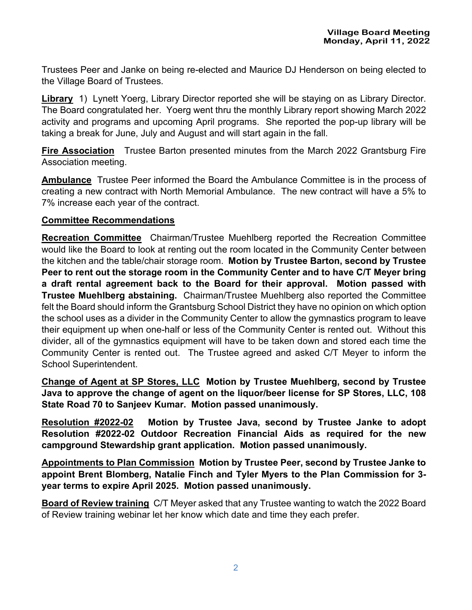Trustees Peer and Janke on being re-elected and Maurice DJ Henderson on being elected to the Village Board of Trustees.

**Library** 1) Lynett Yoerg, Library Director reported she will be staying on as Library Director. The Board congratulated her. Yoerg went thru the monthly Library report showing March 2022 activity and programs and upcoming April programs. She reported the pop-up library will be taking a break for June, July and August and will start again in the fall.

**Fire Association** Trustee Barton presented minutes from the March 2022 Grantsburg Fire Association meeting.

**Ambulance** Trustee Peer informed the Board the Ambulance Committee is in the process of creating a new contract with North Memorial Ambulance. The new contract will have a 5% to 7% increase each year of the contract.

## **Committee Recommendations**

**Recreation Committee** Chairman/Trustee Muehlberg reported the Recreation Committee would like the Board to look at renting out the room located in the Community Center between the kitchen and the table/chair storage room. **Motion by Trustee Barton, second by Trustee Peer to rent out the storage room in the Community Center and to have C/T Meyer bring a draft rental agreement back to the Board for their approval. Motion passed with Trustee Muehlberg abstaining.** Chairman/Trustee Muehlberg also reported the Committee felt the Board should inform the Grantsburg School District they have no opinion on which option the school uses as a divider in the Community Center to allow the gymnastics program to leave their equipment up when one-half or less of the Community Center is rented out. Without this divider, all of the gymnastics equipment will have to be taken down and stored each time the Community Center is rented out. The Trustee agreed and asked C/T Meyer to inform the School Superintendent.

**Change of Agent at SP Stores, LLC Motion by Trustee Muehlberg, second by Trustee Java to approve the change of agent on the liquor/beer license for SP Stores, LLC, 108 State Road 70 to Sanjeev Kumar. Motion passed unanimously.**

**Resolution #2022-02 Motion by Trustee Java, second by Trustee Janke to adopt Resolution #2022-02 Outdoor Recreation Financial Aids as required for the new campground Stewardship grant application. Motion passed unanimously.** 

**Appointments to Plan Commission Motion by Trustee Peer, second by Trustee Janke to appoint Brent Blomberg, Natalie Finch and Tyler Myers to the Plan Commission for 3 year terms to expire April 2025. Motion passed unanimously.**

**Board of Review training** C/T Meyer asked that any Trustee wanting to watch the 2022 Board of Review training webinar let her know which date and time they each prefer.